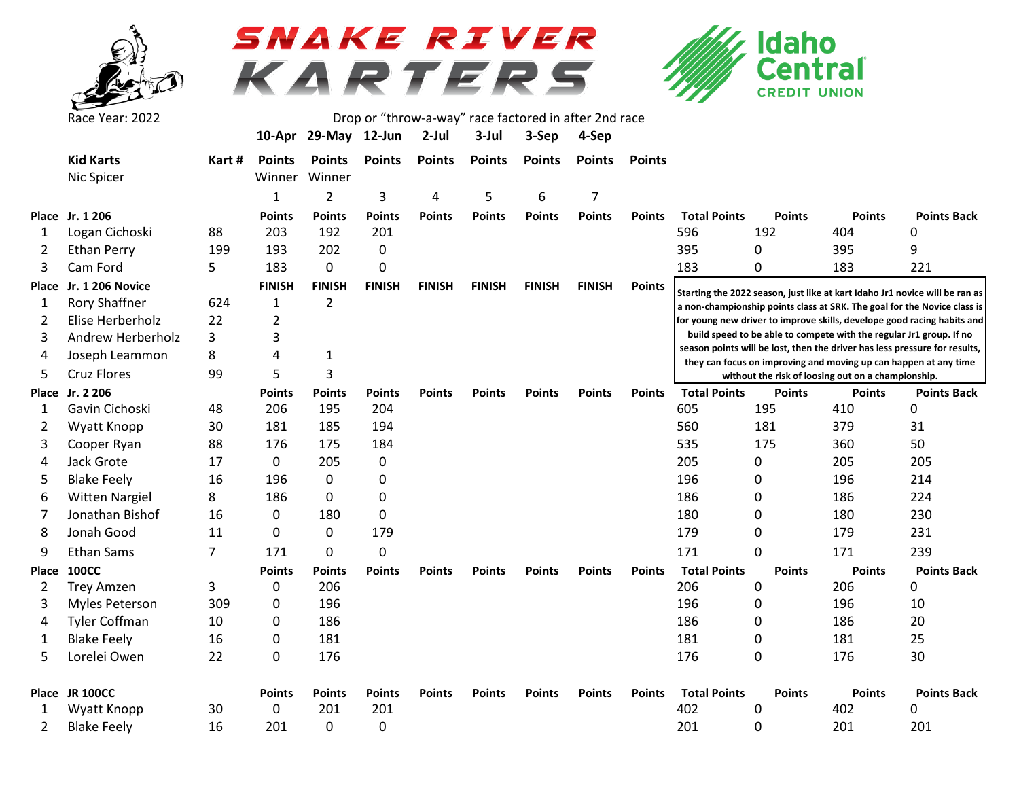

## SNAKE RIVER KARTERS



|       | Race Year: 2022       |                | Drop or "throw-a-way" race factored in after 2nd race |                      |               |               |               |               |               |               |                                                                                                                        |               |                                                                     |                                                                             |  |  |  |
|-------|-----------------------|----------------|-------------------------------------------------------|----------------------|---------------|---------------|---------------|---------------|---------------|---------------|------------------------------------------------------------------------------------------------------------------------|---------------|---------------------------------------------------------------------|-----------------------------------------------------------------------------|--|--|--|
|       |                       |                |                                                       | 10-Apr 29-May 12-Jun |               | $2$ -Jul      | 3-Jul         | 3-Sep         | 4-Sep         |               |                                                                                                                        |               |                                                                     |                                                                             |  |  |  |
|       | <b>Kid Karts</b>      | Kart #         | <b>Points</b>                                         | <b>Points</b>        | <b>Points</b> | <b>Points</b> | <b>Points</b> | <b>Points</b> | <b>Points</b> | <b>Points</b> |                                                                                                                        |               |                                                                     |                                                                             |  |  |  |
|       | Nic Spicer            |                | Winner                                                | Winner               |               |               |               |               |               |               |                                                                                                                        |               |                                                                     |                                                                             |  |  |  |
|       |                       |                | $\mathbf{1}$                                          | $\overline{2}$       | 3             | 4             | 5             | 6             | 7             |               |                                                                                                                        |               |                                                                     |                                                                             |  |  |  |
|       | Place Jr. 1 206       |                | <b>Points</b>                                         | <b>Points</b>        | <b>Points</b> | <b>Points</b> | <b>Points</b> | <b>Points</b> | <b>Points</b> | <b>Points</b> | <b>Total Points</b>                                                                                                    | <b>Points</b> | <b>Points</b>                                                       | <b>Points Back</b>                                                          |  |  |  |
| 1     | Logan Cichoski        | 88             | 203                                                   | 192                  | 201           |               |               |               |               |               | 596                                                                                                                    | 192           | 404                                                                 | 0                                                                           |  |  |  |
| 2     | <b>Ethan Perry</b>    | 199            | 193                                                   | 202                  | $\mathbf 0$   |               |               |               |               |               | 395                                                                                                                    | 0             | 395                                                                 | 9                                                                           |  |  |  |
| 3     | Cam Ford              | 5              | 183                                                   | 0                    | 0             |               |               |               |               |               | 183                                                                                                                    | 0             | 183                                                                 | 221                                                                         |  |  |  |
| Place | Jr. 1 206 Novice      |                | <b>FINISH</b>                                         | <b>FINISH</b>        | <b>FINISH</b> | <b>FINISH</b> | <b>FINISH</b> | <b>FINISH</b> | <b>FINISH</b> | <b>Points</b> |                                                                                                                        |               |                                                                     | Starting the 2022 season, just like at kart Idaho Jr1 novice will be ran as |  |  |  |
| 1     | Rory Shaffner         | 624            | 1                                                     | 2                    |               |               |               |               |               |               |                                                                                                                        |               |                                                                     | a non-championship points class at SRK. The goal for the Novice class is    |  |  |  |
| 2     | Elise Herberholz      | 22             | $\overline{2}$                                        |                      |               |               |               |               |               |               |                                                                                                                        |               |                                                                     | for young new driver to improve skills, develope good racing habits and     |  |  |  |
| 3     | Andrew Herberholz     | 3              | 3                                                     |                      |               |               |               |               |               |               |                                                                                                                        |               | build speed to be able to compete with the regular Jr1 group. If no |                                                                             |  |  |  |
| 4     | Joseph Leammon        | 8              | 4                                                     | 1                    |               |               |               |               |               |               |                                                                                                                        |               |                                                                     | season points will be lost, then the driver has less pressure for results,  |  |  |  |
| 5     | <b>Cruz Flores</b>    | 99             | 5                                                     | 3                    |               |               |               |               |               |               | they can focus on improving and moving up can happen at any time<br>without the risk of loosing out on a championship. |               |                                                                     |                                                                             |  |  |  |
|       | Place Jr. 2 206       |                | <b>Points</b>                                         | Points               | <b>Points</b> | <b>Points</b> | <b>Points</b> | <b>Points</b> | <b>Points</b> | <b>Points</b> | <b>Total Points</b>                                                                                                    | <b>Points</b> | <b>Points</b>                                                       | <b>Points Back</b>                                                          |  |  |  |
| 1     | Gavin Cichoski        | 48             | 206                                                   | 195                  | 204           |               |               |               |               |               | 605                                                                                                                    | 195           | 410                                                                 | 0                                                                           |  |  |  |
| 2     | Wyatt Knopp           | 30             | 181                                                   | 185                  | 194           |               |               |               |               |               | 560                                                                                                                    | 181           | 379                                                                 | 31                                                                          |  |  |  |
| 3     | Cooper Ryan           | 88             | 176                                                   | 175                  | 184           |               |               |               |               |               | 535                                                                                                                    | 175           | 360                                                                 | 50                                                                          |  |  |  |
| 4     | Jack Grote            | 17             | $\mathbf{0}$                                          | 205                  | 0             |               |               |               |               |               | 205                                                                                                                    | 0             | 205                                                                 | 205                                                                         |  |  |  |
| 5     | <b>Blake Feely</b>    | 16             | 196                                                   | 0                    | 0             |               |               |               |               |               | 196                                                                                                                    | 0             | 196                                                                 | 214                                                                         |  |  |  |
| 6     | <b>Witten Nargiel</b> | 8              | 186                                                   | 0                    | 0             |               |               |               |               |               | 186                                                                                                                    | 0             | 186                                                                 | 224                                                                         |  |  |  |
| 7     | Jonathan Bishof       | 16             | 0                                                     | 180                  | 0             |               |               |               |               |               | 180                                                                                                                    | 0             | 180                                                                 | 230                                                                         |  |  |  |
| 8     | Jonah Good            | 11             | 0                                                     | 0                    | 179           |               |               |               |               |               | 179                                                                                                                    | 0             | 179                                                                 | 231                                                                         |  |  |  |
| 9     | <b>Ethan Sams</b>     | $\overline{7}$ | 171                                                   | 0                    | 0             |               |               |               |               |               | 171                                                                                                                    | $\Omega$      | 171                                                                 | 239                                                                         |  |  |  |
| Place | <b>100CC</b>          |                | <b>Points</b>                                         | Points               | <b>Points</b> | <b>Points</b> | <b>Points</b> | <b>Points</b> | <b>Points</b> | <b>Points</b> | <b>Total Points</b>                                                                                                    | <b>Points</b> | <b>Points</b>                                                       | <b>Points Back</b>                                                          |  |  |  |
| 2     | <b>Trey Amzen</b>     | 3              | 0                                                     | 206                  |               |               |               |               |               |               | 206                                                                                                                    | 0             | 206                                                                 | 0                                                                           |  |  |  |
| 3     | <b>Myles Peterson</b> | 309            | 0                                                     | 196                  |               |               |               |               |               |               | 196                                                                                                                    | 0             | 196                                                                 | 10                                                                          |  |  |  |
| 4     | <b>Tyler Coffman</b>  | 10             | 0                                                     | 186                  |               |               |               |               |               |               | 186                                                                                                                    | 0             | 186                                                                 | 20                                                                          |  |  |  |
| 1     | <b>Blake Feely</b>    | 16             | 0                                                     | 181                  |               |               |               |               |               |               | 181                                                                                                                    | 0             | 181                                                                 | 25                                                                          |  |  |  |
| 5     | Lorelei Owen          | 22             | 0                                                     | 176                  |               |               |               |               |               |               | 176                                                                                                                    | 0             | 176                                                                 | 30                                                                          |  |  |  |
|       | Place JR 100CC        |                | <b>Points</b>                                         | <b>Points</b>        | <b>Points</b> | <b>Points</b> | <b>Points</b> | <b>Points</b> | <b>Points</b> | <b>Points</b> | <b>Total Points</b>                                                                                                    | <b>Points</b> | <b>Points</b>                                                       | <b>Points Back</b>                                                          |  |  |  |
| 1     | Wyatt Knopp           | 30             | 0                                                     | 201                  | 201           |               |               |               |               |               | 402                                                                                                                    | 0             | 402                                                                 | 0                                                                           |  |  |  |
| 2     | <b>Blake Feely</b>    | 16             | 201                                                   | 0                    | $\pmb{0}$     |               |               |               |               |               | 201                                                                                                                    | 0             | 201                                                                 | 201                                                                         |  |  |  |